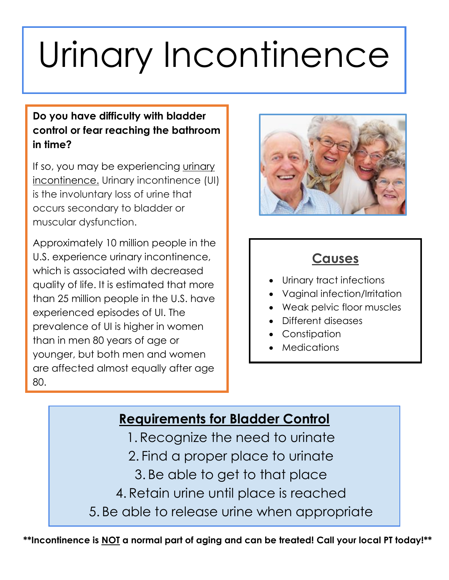# Urinary Incontinence

#### **Do you have difficulty with bladder control or fear reaching the bathroom in time?**

If so, you may be experiencing urinary incontinence. Urinary incontinence (UI) is the involuntary loss of urine that occurs secondary to bladder or muscular dysfunction.

Approximately 10 million people in the U.S. experience urinary incontinence, which is associated with decreased quality of life. It is estimated that more than 25 million people in the U.S. have experienced episodes of UI. The prevalence of UI is higher in women than in men 80 years of age or younger, but both men and women are affected almost equally after age 80.



#### **Causes**

- Urinary tract infections
- Vaginal infection/Irritation
- Weak pelvic floor muscles
- Different diseases
- Constipation
- Medications

## **Requirements for Bladder Control**

- 1. Recognize the need to urinate
- 2. Find a proper place to urinate
	- 3. Be able to get to that place
- 4. Retain urine until place is reached
- 5. Be able to release urine when appropriate